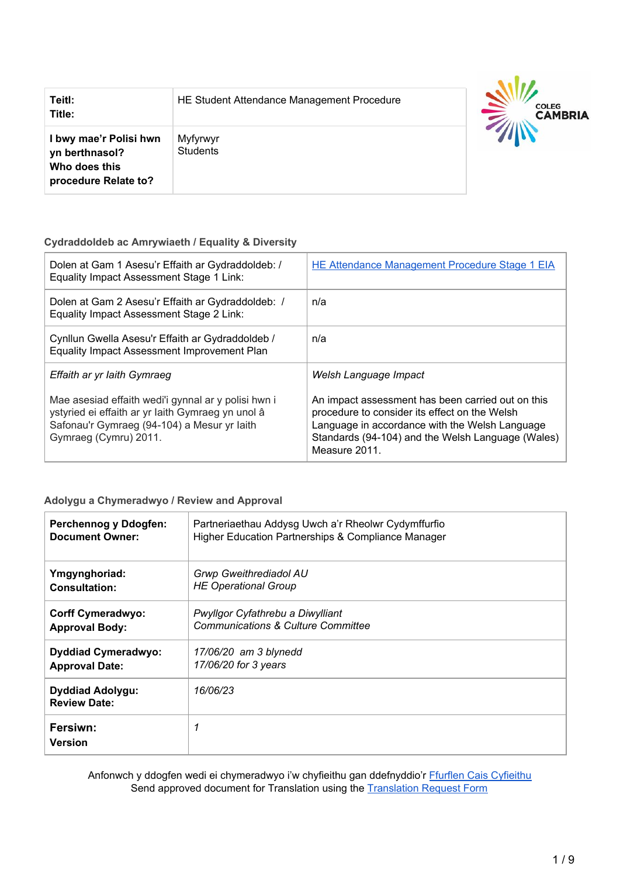| Teitl:<br>Title:                                                                  | HE Student Attendance Management Procedure | <b>COLEG</b><br><b>CAMBRIA</b> |
|-----------------------------------------------------------------------------------|--------------------------------------------|--------------------------------|
| I bwy mae'r Polisi hwn<br>yn berthnasol?<br>Who does this<br>procedure Relate to? | Myfyrwyr<br><b>Students</b>                |                                |

#### **Cydraddoldeb ac Amrywiaeth / Equality & Diversity**

| Dolen at Gam 1 Asesu'r Effaith ar Gydraddoldeb: /<br>Equality Impact Assessment Stage 1 Link:                                                                                    | <b>HE Attendance Management Procedure Stage 1 EIA</b>                                                                                                                                                                      |
|----------------------------------------------------------------------------------------------------------------------------------------------------------------------------------|----------------------------------------------------------------------------------------------------------------------------------------------------------------------------------------------------------------------------|
| Dolen at Gam 2 Asesu'r Effaith ar Gydraddoldeb: /<br>Equality Impact Assessment Stage 2 Link:                                                                                    | n/a                                                                                                                                                                                                                        |
| Cynllun Gwella Asesu'r Effaith ar Gydraddoldeb /<br>Equality Impact Assessment Improvement Plan                                                                                  | n/a                                                                                                                                                                                                                        |
| Effaith ar yr Iaith Gymraeg                                                                                                                                                      | Welsh Language Impact                                                                                                                                                                                                      |
| Mae asesiad effaith wedi'i gynnal ar y polisi hwn i<br>ystyried ei effaith ar yr laith Gymraeg yn unol â<br>Safonau'r Gymraeg (94-104) a Mesur yr Iaith<br>Gymraeg (Cymru) 2011. | An impact assessment has been carried out on this<br>procedure to consider its effect on the Welsh<br>Language in accordance with the Welsh Language<br>Standards (94-104) and the Welsh Language (Wales)<br>Measure 2011. |

#### **Adolygu a Chymeradwyo / Review and Approval**

| Perchennog y Ddogfen:                          | Partneriaethau Addysg Uwch a'r Rheolwr Cydymffurfio |
|------------------------------------------------|-----------------------------------------------------|
| <b>Document Owner:</b>                         | Higher Education Partnerships & Compliance Manager  |
| Ymgynghoriad:                                  | Grwp Gweithrediadol AU                              |
| <b>Consultation:</b>                           | <b>HE Operational Group</b>                         |
| <b>Corff Cymeradwyo:</b>                       | Pwyllgor Cyfathrebu a Diwylliant                    |
| <b>Approval Body:</b>                          | <b>Communications &amp; Culture Committee</b>       |
| <b>Dyddiad Cymeradwyo:</b>                     | 17/06/20 am 3 blynedd                               |
| <b>Approval Date:</b>                          | 17/06/20 for 3 years                                |
| <b>Dyddiad Adolygu:</b><br><b>Review Date:</b> | 16/06/23                                            |
| Fersiwn:<br><b>Version</b>                     | 1                                                   |

Anfonwch y ddogfen wedi ei chymeradwyo i'w chyfieithu gan ddefnyddio'r Ffurflen Cais [Cyfieithu](https://staff.cambria.ac.uk/translation-request-form/) Send approved document for [Translation](https://staff.cambria.ac.uk/translation-request-form/) using the Translation Request Form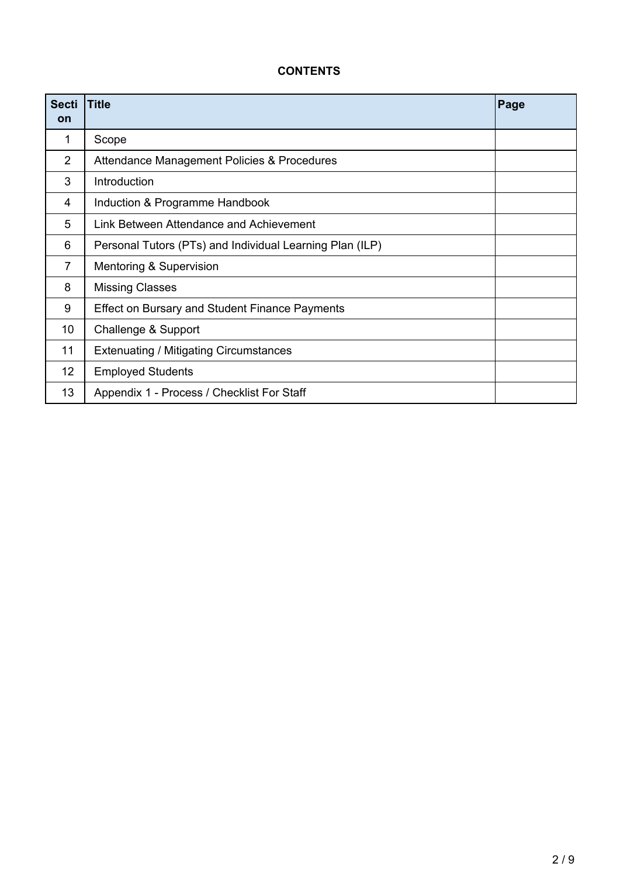# **CONTENTS**

| <b>Secti</b><br>on | <b>Title</b>                                             | Page |
|--------------------|----------------------------------------------------------|------|
| 1                  | Scope                                                    |      |
| $\overline{2}$     | Attendance Management Policies & Procedures              |      |
| 3                  | Introduction                                             |      |
| 4                  | Induction & Programme Handbook                           |      |
| 5                  | Link Between Attendance and Achievement                  |      |
| 6                  | Personal Tutors (PTs) and Individual Learning Plan (ILP) |      |
| 7                  | Mentoring & Supervision                                  |      |
| 8                  | <b>Missing Classes</b>                                   |      |
| 9                  | <b>Effect on Bursary and Student Finance Payments</b>    |      |
| 10                 | Challenge & Support                                      |      |
| 11                 | <b>Extenuating / Mitigating Circumstances</b>            |      |
| 12 <sup>2</sup>    | <b>Employed Students</b>                                 |      |
| 13                 | Appendix 1 - Process / Checklist For Staff               |      |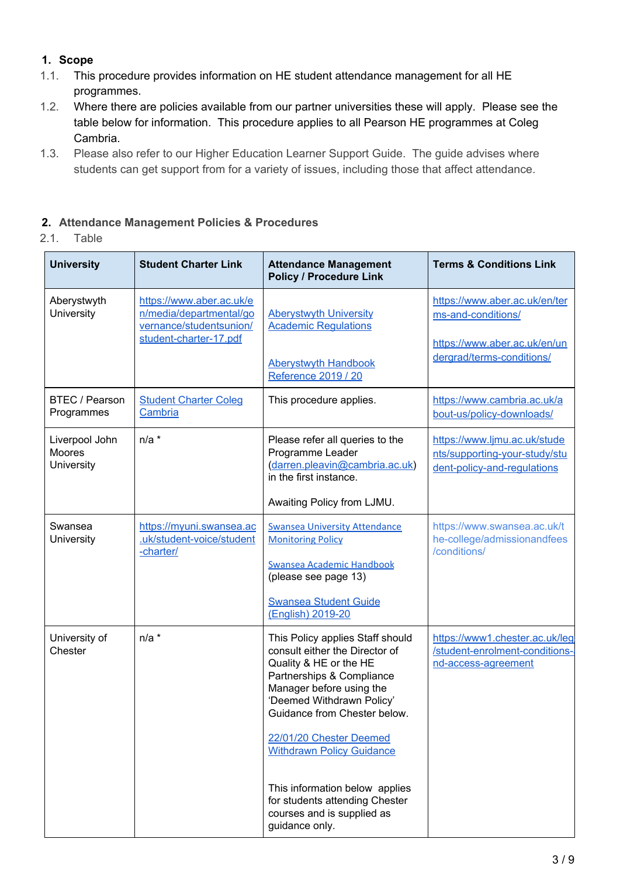# **1. Scope**

- 1.1. This procedure provides information on HE student attendance management for all HE programmes.
- 1.2. Where there are policies available from our partner universities these will apply. Please see the table below for information. This procedure applies to all Pearson HE programmes at Coleg Cambria.
- 1.3. Please also refer to our Higher Education Learner Support Guide. The guide advises where students can get support from for a variety of issues, including those that affect attendance.

#### **2. Attendance Management Policies & Procedures**

2.1. Table

| <b>University</b>                             | <b>Student Charter Link</b>                                                                              | <b>Attendance Management</b><br><b>Policy / Procedure Link</b>                                                                                                                                                                                | <b>Terms &amp; Conditions Link</b>                                                           |
|-----------------------------------------------|----------------------------------------------------------------------------------------------------------|-----------------------------------------------------------------------------------------------------------------------------------------------------------------------------------------------------------------------------------------------|----------------------------------------------------------------------------------------------|
| Aberystwyth<br>University                     | https://www.aber.ac.uk/e<br>n/media/departmental/go<br>vernance/studentsunion/<br>student-charter-17.pdf | <b>Aberystwyth University</b><br><b>Academic Regulations</b>                                                                                                                                                                                  | https://www.aber.ac.uk/en/ter<br>ms-and-conditions/<br>https://www.aber.ac.uk/en/un          |
|                                               |                                                                                                          | <b>Aberystwyth Handbook</b><br>Reference 2019 / 20                                                                                                                                                                                            | dergrad/terms-conditions/                                                                    |
| <b>BTEC / Pearson</b><br>Programmes           | <b>Student Charter Coleg</b><br>Cambria                                                                  | This procedure applies.                                                                                                                                                                                                                       | https://www.cambria.ac.uk/a<br>bout-us/policy-downloads/                                     |
| Liverpool John<br><b>Moores</b><br>University | $n/a$ *                                                                                                  | Please refer all queries to the<br>Programme Leader<br>(darren.pleavin@cambria.ac.uk)<br>in the first instance.                                                                                                                               | https://www.ljmu.ac.uk/stude<br>nts/supporting-your-study/stu<br>dent-policy-and-regulations |
|                                               |                                                                                                          | Awaiting Policy from LJMU.                                                                                                                                                                                                                    |                                                                                              |
| Swansea<br><b>University</b>                  | https://myuni.swansea.ac<br>.uk/student-voice/student<br>-charter/                                       | <b>Swansea University Attendance</b><br><b>Monitoring Policy</b><br><b>Swansea Academic Handbook</b><br>(please see page 13)                                                                                                                  | https://www.swansea.ac.uk/t<br>he-college/admissionandfees<br>/conditions/                   |
|                                               |                                                                                                          | <b>Swansea Student Guide</b><br>(English) 2019-20                                                                                                                                                                                             |                                                                                              |
| University of<br>Chester                      | $n/a$ *                                                                                                  | This Policy applies Staff should<br>consult either the Director of<br>Quality & HE or the HE<br>Partnerships & Compliance<br>Manager before using the<br>'Deemed Withdrawn Policy'<br>Guidance from Chester below.<br>22/01/20 Chester Deemed | https://www1.chester.ac.uk/leg<br>/student-enrolment-conditions-<br>nd-access-agreement      |
|                                               |                                                                                                          | <b>Withdrawn Policy Guidance</b>                                                                                                                                                                                                              |                                                                                              |
|                                               |                                                                                                          | This information below applies<br>for students attending Chester<br>courses and is supplied as<br>guidance only.                                                                                                                              |                                                                                              |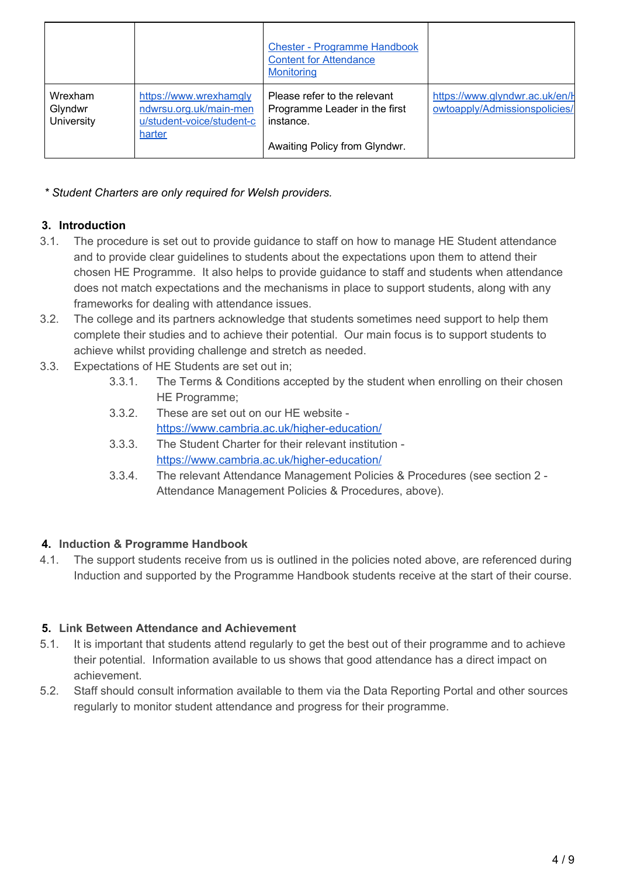|                                  |                                                                                         | <b>Chester - Programme Handbook</b><br><b>Content for Attendance</b><br>Monitoring                          |                                                                 |
|----------------------------------|-----------------------------------------------------------------------------------------|-------------------------------------------------------------------------------------------------------------|-----------------------------------------------------------------|
| Wrexham<br>Glyndwr<br>University | https://www.wrexhamgly<br>ndwrsu.org.uk/main-men<br>u/student-voice/student-c<br>harter | Please refer to the relevant<br>Programme Leader in the first<br>instance.<br>Awaiting Policy from Glyndwr. | https://www.glyndwr.ac.uk/en/F<br>owtoapply/Admissionspolicies/ |

*\* Student Charters are only required for Welsh providers.*

# **3. Introduction**

- 3.1. The procedure is set out to provide guidance to staff on how to manage HE Student attendance and to provide clear guidelines to students about the expectations upon them to attend their chosen HE Programme. It also helps to provide guidance to staff and students when attendance does not match expectations and the mechanisms in place to support students, along with any frameworks for dealing with attendance issues.
- 3.2. The college and its partners acknowledge that students sometimes need support to help them complete their studies and to achieve their potential. Our main focus is to support students to achieve whilst providing challenge and stretch as needed.
- 3.3. Expectations of HE Students are set out in;
	- 3.3.1. The Terms & Conditions accepted by the student when enrolling on their chosen HE Programme;
	- 3.3.2. These are set out on our HE website <https://www.cambria.ac.uk/higher-education/>
	- 3.3.3. The Student Charter for their relevant institution <https://www.cambria.ac.uk/higher-education/>
	- 3.3.4. The relevant Attendance Management Policies & Procedures (see section 2 Attendance Management Policies & Procedures, above).

# **4. Induction & Programme Handbook**

4.1. The support students receive from us is outlined in the policies noted above, are referenced during Induction and supported by the Programme Handbook students receive at the start of their course.

# **5. Link Between Attendance and Achievement**

- 5.1. It is important that students attend regularly to get the best out of their programme and to achieve their potential. Information available to us shows that good attendance has a direct impact on achievement.
- 5.2. Staff should consult information available to them via the Data Reporting Portal and other sources regularly to monitor student attendance and progress for their programme.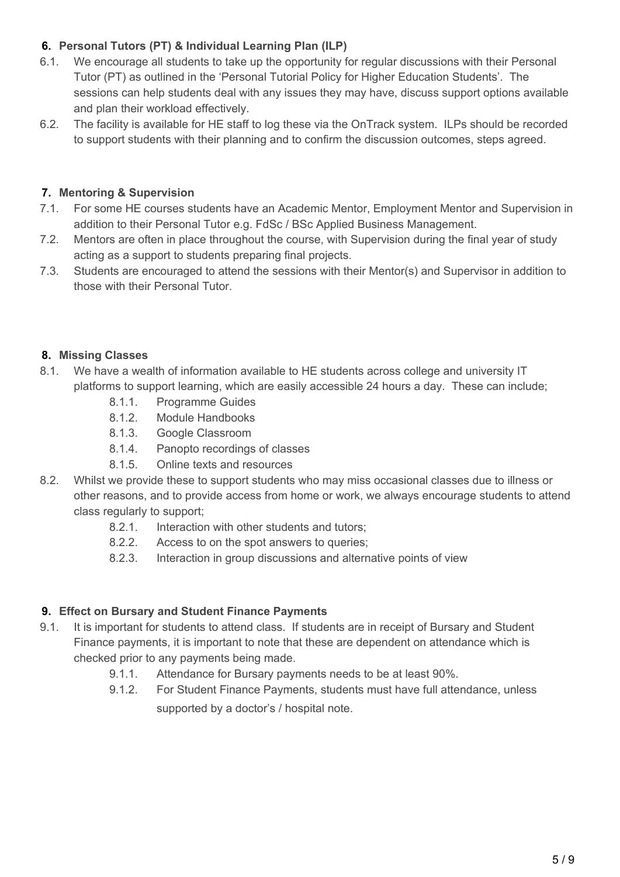# **6. Personal Tutors (PT) & Individual Learning Plan (ILP)**

- 6.1. We encourage all students to take up the opportunity for regular discussions with their Personal Tutor (PT) as outlined in the 'Personal Tutorial Policy for Higher Education Students'. The sessions can help students deal with any issues they may have, discuss support options available and plan their workload effectively.
- 6.2. The facility is available for HE staff to log these via the OnTrack system. ILPs should be recorded to support students with their planning and to confirm the discussion outcomes, steps agreed.

# **7. Mentoring & Supervision**

- 7.1. For some HE courses students have an Academic Mentor, Employment Mentor and Supervision in addition to their Personal Tutor e.g. FdSc / BSc Applied Business Management.
- 7.2. Mentors are often in place throughout the course, with Supervision during the final year of study acting as a support to students preparing final projects.
- 7.3. Students are encouraged to attend the sessions with their Mentor(s) and Supervisor in addition to those with their Personal Tutor.

# **8. Missing Classes**

- 8.1. We have a wealth of information available to HE students across college and university IT platforms to support learning, which are easily accessible 24 hours a day. These can include;
	- 8.1.1. Programme Guides
	- 8.1.2. Module Handbooks
	- 8.1.3. Google Classroom
	- 8.1.4. Panopto recordings of classes
	- 8.1.5. Online texts and resources
- 8.2. Whilst we provide these to support students who may miss occasional classes due to illness or other reasons, and to provide access from home or work, we always encourage students to attend class regularly to support;
	- 8.2.1. Interaction with other students and tutors;
	- 8.2.2. Access to on the spot answers to queries;
	- 8.2.3. Interaction in group discussions and alternative points of view

# **9. Effect on Bursary and Student Finance Payments**

- 9.1. It is important for students to attend class. If students are in receipt of Bursary and Student Finance payments, it is important to note that these are dependent on attendance which is checked prior to any payments being made.
	- 9.1.1. Attendance for Bursary payments needs to be at least 90%.
	- 9.1.2. For Student Finance Payments, students must have full attendance, unless supported by a doctor's / hospital note.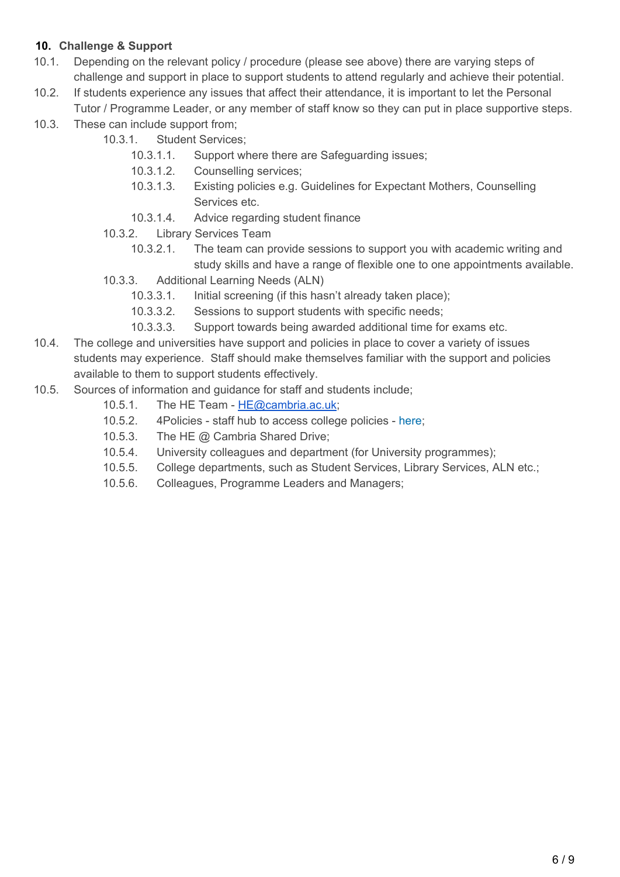# **10. Challenge & Support**

- 10.1. Depending on the relevant policy / procedure (please see above) there are varying steps of challenge and support in place to support students to attend regularly and achieve their potential.
- 10.2. If students experience any issues that affect their attendance, it is important to let the Personal Tutor / Programme Leader, or any member of staff know so they can put in place supportive steps.
- 10.3. These can include support from;
	- 10.3.1. Student Services;
		- 10.3.1.1. Support where there are Safeguarding issues;
		- 10.3.1.2. Counselling services;
		- 10.3.1.3. Existing policies e.g. Guidelines for Expectant Mothers, Counselling Services etc.
		- 10.3.1.4. Advice regarding student finance
	- 10.3.2. Library Services Team
		- 10.3.2.1. The team can provide sessions to support you with academic writing and study skills and have a range of flexible one to one appointments available.
	- 10.3.3. Additional Learning Needs (ALN)
		- 10.3.3.1. Initial screening (if this hasn't already taken place);
		- 10.3.3.2. Sessions to support students with specific needs;
		- 10.3.3.3. Support towards being awarded additional time for exams etc.
- 10.4. The college and universities have support and policies in place to cover a variety of issues students may experience. Staff should make themselves familiar with the support and policies available to them to support students effectively.
- 10.5. Sources of information and guidance for staff and students include;
	- 10.5.1. The HE Team [HE@cambria.ac.uk;](mailto:HE@cambria.ac.uk)
	- 10.5.2. 4Policies staff hub to access college policies [here](https://colegcambria.insight4grc.com/UserHome/Policies/Default.aspx);
	- 10.5.3. The HE @ Cambria Shared Drive;
	- 10.5.4. University colleagues and department (for University programmes);
	- 10.5.5. College departments, such as Student Services, Library Services, ALN etc.;
	- 10.5.6. Colleagues, Programme Leaders and Managers;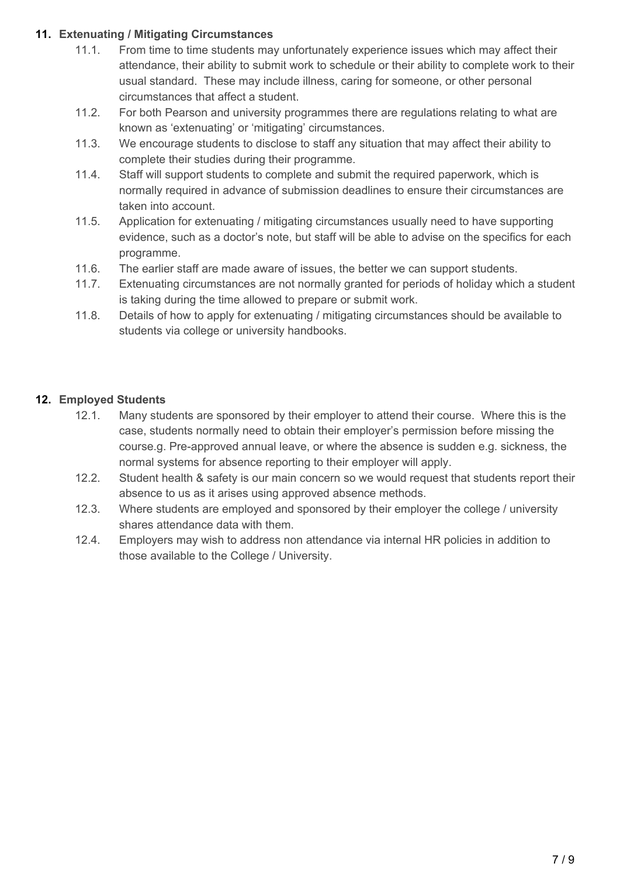## **11. Extenuating / Mitigating Circumstances**

- 11.1. From time to time students may unfortunately experience issues which may affect their attendance, their ability to submit work to schedule or their ability to complete work to their usual standard. These may include illness, caring for someone, or other personal circumstances that affect a student.
- 11.2. For both Pearson and university programmes there are regulations relating to what are known as 'extenuating' or 'mitigating' circumstances.
- 11.3. We encourage students to disclose to staff any situation that may affect their ability to complete their studies during their programme.
- 11.4. Staff will support students to complete and submit the required paperwork, which is normally required in advance of submission deadlines to ensure their circumstances are taken into account.
- 11.5. Application for extenuating / mitigating circumstances usually need to have supporting evidence, such as a doctor's note, but staff will be able to advise on the specifics for each programme.
- 11.6. The earlier staff are made aware of issues, the better we can support students.
- 11.7. Extenuating circumstances are not normally granted for periods of holiday which a student is taking during the time allowed to prepare or submit work.
- 11.8. Details of how to apply for extenuating / mitigating circumstances should be available to students via college or university handbooks.

# **12. Employed Students**

- 12.1. Many students are sponsored by their employer to attend their course. Where this is the case, students normally need to obtain their employer's permission before missing the course.g. Pre-approved annual leave, or where the absence is sudden e.g. sickness, the normal systems for absence reporting to their employer will apply.
- 12.2. Student health & safety is our main concern so we would request that students report their absence to us as it arises using approved absence methods.
- 12.3. Where students are employed and sponsored by their employer the college / university shares attendance data with them.
- 12.4. Employers may wish to address non attendance via internal HR policies in addition to those available to the College / University.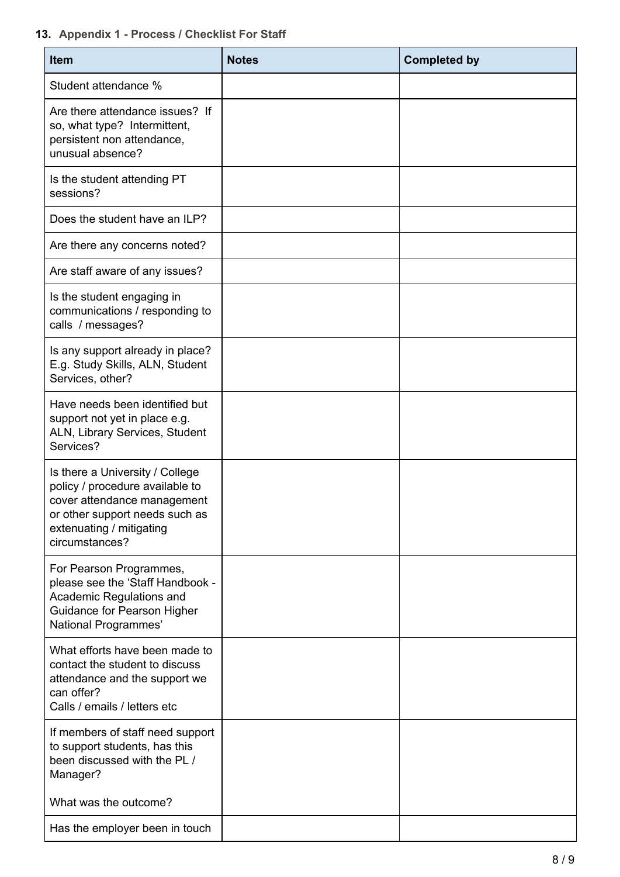# **13. Appendix 1 - Process / Checklist For Staff**

| Item                                                                                                                                                                              | <b>Notes</b> | <b>Completed by</b> |
|-----------------------------------------------------------------------------------------------------------------------------------------------------------------------------------|--------------|---------------------|
| Student attendance %                                                                                                                                                              |              |                     |
| Are there attendance issues? If<br>so, what type? Intermittent,<br>persistent non attendance,<br>unusual absence?                                                                 |              |                     |
| Is the student attending PT<br>sessions?                                                                                                                                          |              |                     |
| Does the student have an ILP?                                                                                                                                                     |              |                     |
| Are there any concerns noted?                                                                                                                                                     |              |                     |
| Are staff aware of any issues?                                                                                                                                                    |              |                     |
| Is the student engaging in<br>communications / responding to<br>calls / messages?                                                                                                 |              |                     |
| Is any support already in place?<br>E.g. Study Skills, ALN, Student<br>Services, other?                                                                                           |              |                     |
| Have needs been identified but<br>support not yet in place e.g.<br>ALN, Library Services, Student<br>Services?                                                                    |              |                     |
| Is there a University / College<br>policy / procedure available to<br>cover attendance management<br>or other support needs such as<br>extenuating / mitigating<br>circumstances? |              |                     |
| For Pearson Programmes,<br>please see the 'Staff Handbook -<br>Academic Regulations and<br>Guidance for Pearson Higher<br>National Programmes'                                    |              |                     |
| What efforts have been made to<br>contact the student to discuss<br>attendance and the support we<br>can offer?<br>Calls / emails / letters etc                                   |              |                     |
| If members of staff need support<br>to support students, has this<br>been discussed with the PL /<br>Manager?                                                                     |              |                     |
| What was the outcome?                                                                                                                                                             |              |                     |
| Has the employer been in touch                                                                                                                                                    |              |                     |